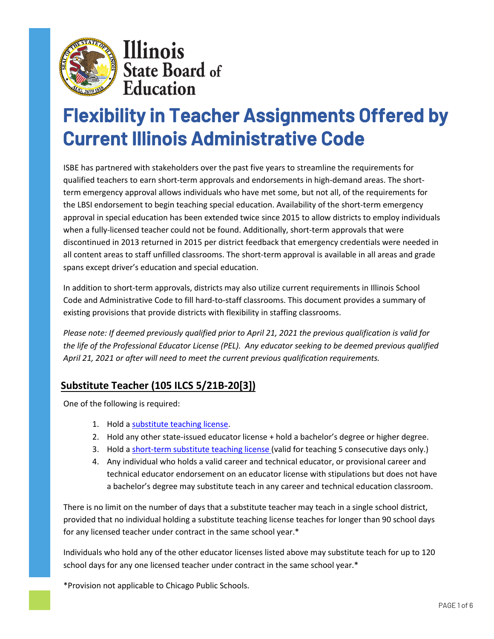

Illinois **State Board of**<br>**Education** 

# **Flexibility in Teacher Assignments Offered by Current Illinois Administrative Code**

ISBE has partnered with stakeholders over the past five years to streamline the requirements for qualified teachers to earn short-term approvals and endorsements in high-demand areas. The shortterm emergency approval allows individuals who have met some, but not all, of the requirements for the LBSI endorsement to begin teaching special education. Availability of the short-term emergency approval in special education has been extended twice since 2015 to allow districts to employ individuals when a fully-licensed teacher could not be found. Additionally, short-term approvals that were discontinued in 2013 returned in 2015 per district feedback that emergency credentials were needed in all content areas to staff unfilled classrooms. The short-term approval is available in all areas and grade spans except driver's education and special education.

In addition to short-term approvals, districts may also utilize current requirements in Illinois School Code and Administrative Code to fill hard-to-staff classrooms. This document provides a summary of existing provisions that provide districts with flexibility in staffing classrooms.

*Please note: If deemed previously qualified prior to April 21, 2021 the previous qualification is valid for the life of the Professional Educator License (PEL). Any educator seeking to be deemed previous qualified April 21, 2021 or after will need to meet the current previous qualification requirements.* 

### **Substitute Teacher (105 ILCS 5/21B-20[3])**

One of the following is required:

- 1. Hold [a substitute teaching license.](https://www.isbe.net/Pages/Educator-Licensure-Requirements.aspx)
- 2. Hold any other state-issued educator license + hold a bachelor's degree or higher degree.
- 3. Hold [a short-term substitute teaching license \(](https://www.isbe.net/Pages/Educator-Licensure-Requirements.aspx)valid for teaching 5 consecutive days only.)
- 4. Any individual who holds a valid career and technical educator, or provisional career and technical educator endorsement on an educator license with stipulations but does not have a bachelor's degree may substitute teach in any career and technical education classroom.

There is no limit on the number of days that a substitute teacher may teach in a single school district, provided that no individual holding a substitute teaching license teaches for longer than 90 school days for any licensed teacher under contract in the same school year.\*

Individuals who hold any of the other educator licenses listed above may substitute teach for up to 120 school days for any one licensed teacher under contract in the same school year.\*

\*Provision not applicable to Chicago Public Schools.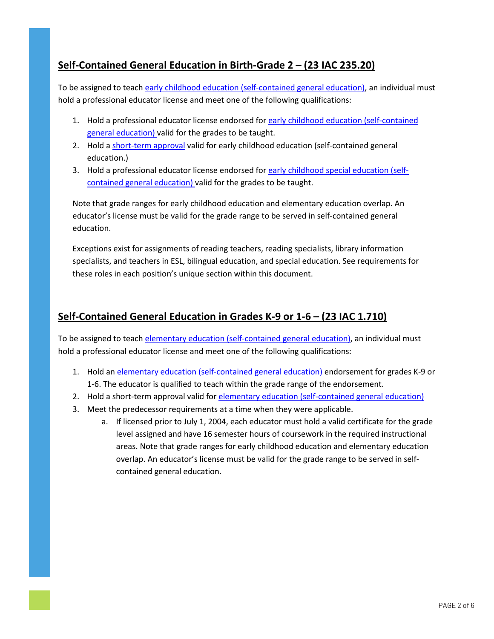#### **Self-Contained General Education in Birth-Grade 2 – (23 IAC 235.20)**

To be assigned to teach early childhood [education \(self-contained general education\),](https://www.isbe.net/Pages/Professional-Educator-License-Teaching-Endorsements.aspx) an individual must hold a professional educator license and meet one of the following qualifications:

- 1. Hold a professional educator license endorsed fo[r early childhood education \(self-contained](https://www.isbe.net/Documents/235ARK.pdf) [general education\) v](https://www.isbe.net/Documents/235ARK.pdf)alid for the grades to be taught.
- 2. Hold a [short-term approval](https://www.isbe.net/Pages/educator-licensure-approvals.aspx) valid for early childhood education (self-contained general education.)
- 3. Hold a professional educator license endorsed fo[r early childhood special](https://www.isbe.net/Documents/235ARK.pdf) education (self[contained general education\) v](https://www.isbe.net/Documents/235ARK.pdf)alid for the grades to be taught.

Note that grade ranges for early childhood education and elementary education overlap. An educator's license must be valid for the grade range to be served in self-contained general education.

Exceptions exist for assignments of reading teachers, reading specialists, library information specialists, and teachers in ESL, bilingual education, and special education. See requirements for these roles in each position's unique section within this document.

#### **Self-Contained General Education in Grades K-9 or 1-6 – (23 IAC 1.710)**

To be assigned to teach [elementary education \(self-contained general education\),](https://www.isbe.net/Pages/Professional-Educator-License-Teaching-Endorsements.aspx) an individual must hold a professional educator license and meet one of the following qualifications:

- 1. Hold an elementary [education \(self-contained general education\) e](https://www.isbe.net/Pages/Professional-Educator-License-Teaching-Endorsements.aspx)ndorsement for grades K-9 or 1-6. The educator is qualified to teach within the grade range of the endorsement.
- 2. Hold a short-term approval valid for [elementary education \(self-contained general education\)](https://www.isbe.net/Pages/Professional-Educator-License-Teaching-Endorsements.aspx)
- 3. Meet the predecessor requirements at a time when they were applicable.
	- a. If licensed prior to July 1, 2004, each educator must hold a valid certificate for the grade level assigned and have 16 semester hours of coursework in the required instructional areas. Note that grade ranges for early childhood education and elementary education overlap. An educator's license must be valid for the grade range to be served in selfcontained general education.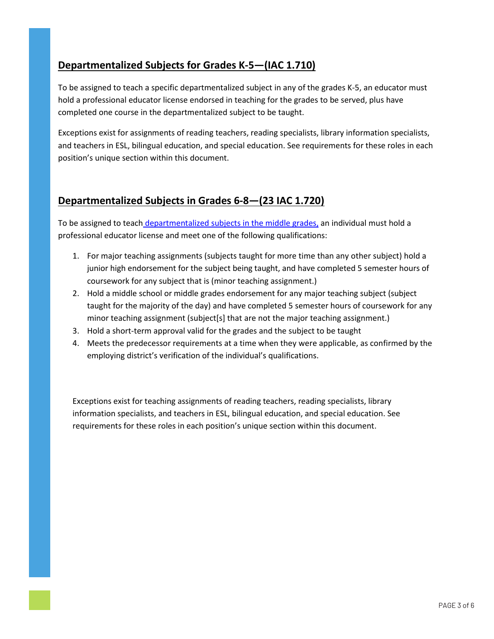#### **Departmentalized Subjects for Grades K-5—(IAC 1.710)**

To be assigned to teach a specific departmentalized subject in any of the grades K-5, an educator must hold a professional educator license endorsed in teaching for the grades to be served, plus have completed one course in the departmentalized subject to be taught.

Exceptions exist for assignments of reading teachers, reading specialists, library information specialists, and teachers in ESL, bilingual education, and special education. See requirements for these roles in each position's unique section within this document.

#### **Departmentalized Subjects in Grades 6-8—(23 IAC 1.720)**

To be assigned to teac[h departmentalized subjects in the middle grades,](https://www.isbe.net/Documents/ONEARK.pdf) an individual must hold a professional educator license and meet one of the following qualifications:

- 1. For major teaching assignments (subjects taught for more time than any other subject) hold a junior high endorsement for the subject being taught, and have completed 5 semester hours of coursework for any subject that is (minor teaching assignment.)
- 2. Hold a middle school or middle grades endorsement for any major teaching subject (subject taught for the majority of the day) and have completed 5 semester hours of coursework for any minor teaching assignment (subject[s] that are not the major teaching assignment.)
- 3. Hold a short-term approval valid for the grades and the subject to be taught
- 4. Meets the predecessor requirements at a time when they were applicable, as confirmed by the employing district's verification of the individual's qualifications.

Exceptions exist for teaching assignments of reading teachers, reading specialists, library information specialists, and teachers in ESL, bilingual education, and special education. See requirements for these roles in each position's unique section within this document.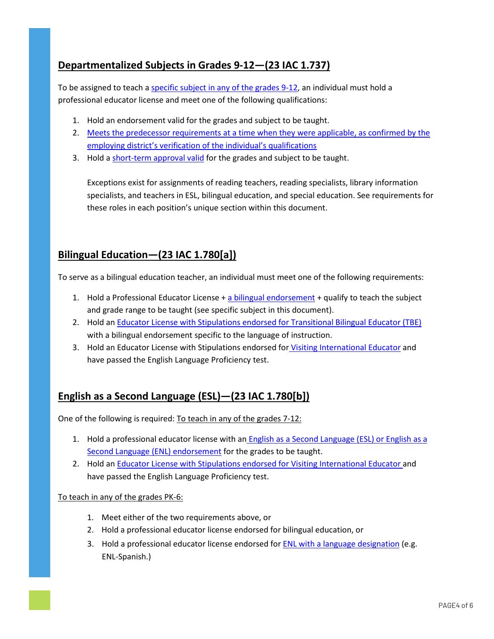### **Departmentalized Subjects in Grades 9-12—(23 IAC 1.737)**

To be assigned to teach [a specific subject in any of the grades 9-12,](https://www.isbe.net/Pages/Professional-Educator-License-Teaching-Endorsements.aspx) an individual must hold a professional educator license and meet one of the following qualifications:

- 1. Hold an endorsement valid for the grades and subject to be taught.
- 2. [Meets the predecessor requirements at a time when they were applicable, as confirmed by the](https://www.isbe.net/Documents/ONEARK.pdf) [employing district's verification of the individual's qualifications](https://www.isbe.net/Documents/ONEARK.pdf)
- 3. Hold a [short-term approval valid](https://www.isbe.net/Pages/educator-licensure-approvals.aspx) for the grades and subject to be taught.

Exceptions exist for assignments of reading teachers, reading specialists, library information specialists, and teachers in ESL, bilingual education, and special education. See requirements for these roles in each position's unique section within this document.

#### **Bilingual Education—(23 IAC 1.780[a])**

To serve as a bilingual education teacher, an individual must meet one of the following requirements:

- 1. Hold a Professional Educator License  $+$  [a bilingual endorsement](https://www.isbe.net/Pages/Subsequent-Teaching-Endorsements.aspx)  $+$  qualify to teach the subject and grade range to be taught (see specific subject in this document).
- 2. Hold an [Educator License with Stipulations endorsed for Transitional Bilingual Educator \(TBE\)](https://www.isbe.net/Pages/Educator-License-with-Stipulations.aspx) with a bilingual endorsement specific to the language of instruction.
- 3. Hold an Educator License with Stipulations endorsed for [Visiting International Educator](https://www.isbe.net/Pages/Educator-License-with-Stipulations.aspx) and have passed the English Language Proficiency test.

### **English as a Second Language (ESL)—(23 IAC 1.780[b])**

One of the following is required: To teach in any of the grades 7-12:

- 1. Hold a professional educator license with an English as a Second Language (ESL) or English as a Second Language (ENL) endorsement for the grades to be taught.
- 2. Hold an [Educator License with Stipulations endorsed for Visiting International Educator](https://www.isbe.net/Pages/Educator-License-with-Stipulations.aspx) [and](https://www.isbe.net/Pages/Subsequent-Teaching-Endorsements.aspx) [have passed the English Language Pro](https://www.isbe.net/Pages/Subsequent-Teaching-Endorsements.aspx)ficiency test.

#### To teach in any of the grades PK-6:

- 1. Meet either of the two requirements above, or
- 2. Hold a professional educator license endorsed for bilingual education, or
- 3. Hold a professional educator license endorsed for ENL with a language designation (e.g. ENL-Spanish.)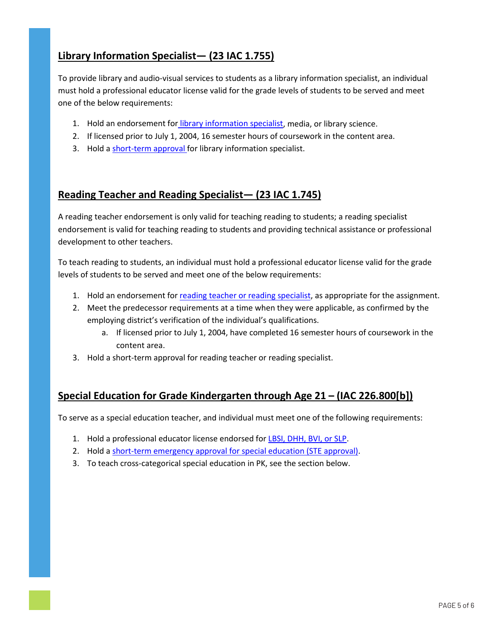### **Library Information Specialist— (23 IAC 1.755)**

To provide library and audio-visual services to students as a library information specialist, an individual must hold a professional educator license valid for the grade levels of students to be served and meet one of the below requirements:

- 1. Hold an endorsement for [library information specialist,](https://www.isbe.net/Pages/Subsequent-Teaching-Endorsements.aspx) media, or library science.
- 2. If licensed prior to July 1, 2004, 16 semester hours of coursework in the content area.
- 3. Hold a short-term approval for library information specialist.

#### **Reading Teacher and Reading Specialist— (23 IAC 1.745)**

A reading teacher endorsement is only valid for teaching reading to students; a reading specialist endorsement [is valid for teaching rea](https://www.isbe.net/Pages/educator-licensure-approvals.aspx)ding to students and providing technical assistance or professional development to other teachers.

To teach reading to students, an individual must hold a professional educator license valid for the grade levels of students to be served and meet one of the below requirements:

- 1. Hold an endorsement for [reading teacher or reading specialist,](https://www.isbe.net/Pages/Subsequent-Teaching-Endorsements.aspx) as appropriate for the assignment.
- 2. Meet the predecessor requirements at a time when they were applicable, as confirmed by the employing district's verification of the individual's qualifications.
	- a. If licensed prior to July 1, 2004, have completed 16 semester hours of coursework in the content area.
- 3. Hold a short-term approval for reading teacher or reading specialist.

#### **Special Education for Grade Kindergarten through Age 21 – (IAC 226.800[b])**

To serve as a special education teacher, and individual must meet one of the following requirements:

- 1. Hold a professional educator license endorsed fo[r LBSI, DHH, BVI, or SLP.](https://www.isbe.net/Pages/Special-Education-Requirements.aspx)
- 2. Hold a [short-term emergency approval for special education \(STE approval\).](https://www.isbe.net/Pages/educator-licensure-approvals.aspx)
- 3. To teach cross-categorical special education in PK, see the section below.